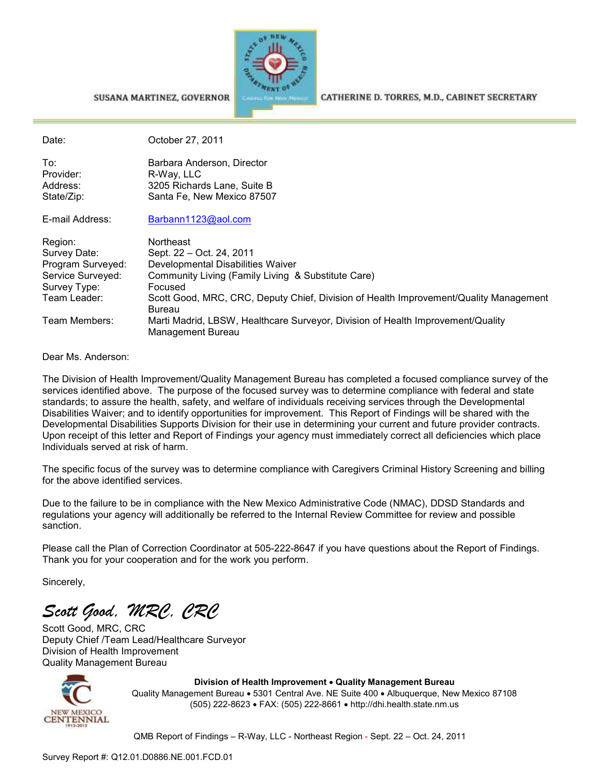

SUSANA MARTINEZ, GOVERNOR

CATHERINE D. TORRES, M.D., CABINET SECRETARY

| Date:             | October 27, 2011                                                                                     |
|-------------------|------------------------------------------------------------------------------------------------------|
| To:               | Barbara Anderson, Director                                                                           |
| Provider:         | R-Way, LLC                                                                                           |
| Address:          | 3205 Richards Lane, Suite B                                                                          |
| State/Zip:        | Santa Fe, New Mexico 87507                                                                           |
| E-mail Address:   | Barbann1123@aol.com                                                                                  |
| Region:           | Northeast                                                                                            |
| Survey Date:      | Sept. 22 – Oct. 24, 2011                                                                             |
| Program Surveyed: | Developmental Disabilities Waiver                                                                    |
| Service Surveyed: | Community Living (Family Living & Substitute Care)                                                   |
| Survey Type:      | Focused                                                                                              |
| Team Leader:      | Scott Good, MRC, CRC, Deputy Chief, Division of Health Improvement/Quality Management                |
|                   | <b>Bureau</b>                                                                                        |
| Team Members:     | Marti Madrid, LBSW, Healthcare Surveyor, Division of Health Improvement/Quality<br>Management Bureau |

Dear Ms. Anderson:

The Division of Health Improvement/Quality Management Bureau has completed a focused compliance survey of the services identified above. The purpose of the focused survey was to determine compliance with federal and state standards; to assure the health, safety, and welfare of individuals receiving services through the Developmental Disabilities Waiver; and to identify opportunities for improvement. This Report of Findings will be shared with the Developmental Disabilities Supports Division for their use in determining your current and future provider contracts. Upon receipt of this letter and Report of Findings your agency must immediately correct all deficiencies which place Individuals served at risk of harm.

The specific focus of the survey was to determine compliance with Caregivers Criminal History Screening and billing for the above identified services.

Due to the failure to be in compliance with the New Mexico Administrative Code (NMAC), DDSD Standards and regulations your agency will additionally be referred to the Internal Review Committee for review and possible sanction.

Please call the Plan of Correction Coordinator at 505-222-8647 if you have questions about the Report of Findings. Thank you for your cooperation and for the work you perform.

Sincerely,

*Scott Good, MRC, CRC* 

Scott Good, MRC, CRC Deputy Chief /Team Lead/Healthcare Surveyor Division of Health Improvement Quality Management Bureau



**Division of Health Improvement** • **Quality Management Bureau**  Quality Management Bureau • 5301 Central Ave. NE Suite 400 • Albuquerque, New Mexico 87108 (505) 222-8623 • FAX: (505) 222-8661 • http://dhi.health.state.nm.us

QMB Report of Findings – R-Way, LLC - Northeast Region - Sept. 22 – Oct. 24, 2011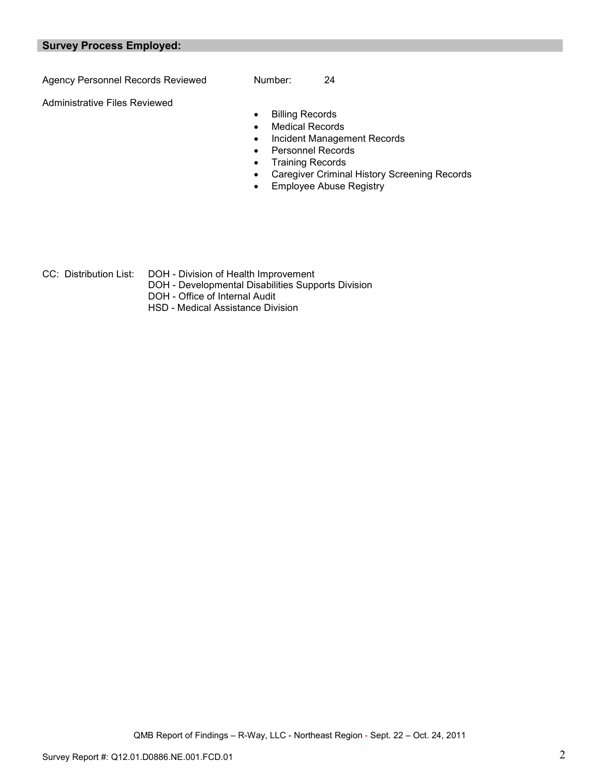#### **Survey Process Employed:**

Agency Personnel Records Reviewed Number: 24

Administrative Files Reviewed

- Billing Records
- Medical Records
- Incident Management Records
- Personnel Records
- Training Records
- Caregiver Criminal History Screening Records
- Employee Abuse Registry

- 
- CC: Distribution List: DOH Division of Health Improvement
	- DOH Developmental Disabilities Supports Division
	- DOH Office of Internal Audit
	- HSD Medical Assistance Division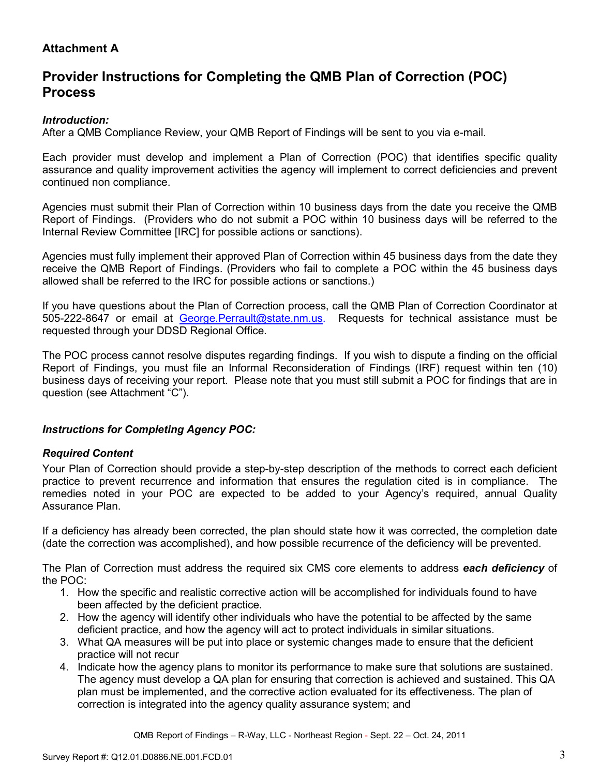# **Attachment A**

# **Provider Instructions for Completing the QMB Plan of Correction (POC) Process**

### *Introduction:*

After a QMB Compliance Review, your QMB Report of Findings will be sent to you via e-mail.

Each provider must develop and implement a Plan of Correction (POC) that identifies specific quality assurance and quality improvement activities the agency will implement to correct deficiencies and prevent continued non compliance.

Agencies must submit their Plan of Correction within 10 business days from the date you receive the QMB Report of Findings. (Providers who do not submit a POC within 10 business days will be referred to the Internal Review Committee [IRC] for possible actions or sanctions).

Agencies must fully implement their approved Plan of Correction within 45 business days from the date they receive the QMB Report of Findings. (Providers who fail to complete a POC within the 45 business days allowed shall be referred to the IRC for possible actions or sanctions.)

If you have questions about the Plan of Correction process, call the QMB Plan of Correction Coordinator at 505-222-8647 or email at George.Perrault@state.nm.us. Requests for technical assistance must be requested through your DDSD Regional Office.

The POC process cannot resolve disputes regarding findings. If you wish to dispute a finding on the official Report of Findings, you must file an Informal Reconsideration of Findings (IRF) request within ten (10) business days of receiving your report. Please note that you must still submit a POC for findings that are in question (see Attachment "C").

### *Instructions for Completing Agency POC:*

### *Required Content*

Your Plan of Correction should provide a step-by-step description of the methods to correct each deficient practice to prevent recurrence and information that ensures the regulation cited is in compliance. The remedies noted in your POC are expected to be added to your Agency's required, annual Quality Assurance Plan.

If a deficiency has already been corrected, the plan should state how it was corrected, the completion date (date the correction was accomplished), and how possible recurrence of the deficiency will be prevented.

The Plan of Correction must address the required six CMS core elements to address *each deficiency* of the POC:

- 1. How the specific and realistic corrective action will be accomplished for individuals found to have been affected by the deficient practice.
- 2. How the agency will identify other individuals who have the potential to be affected by the same deficient practice, and how the agency will act to protect individuals in similar situations.
- 3. What QA measures will be put into place or systemic changes made to ensure that the deficient practice will not recur
- 4. Indicate how the agency plans to monitor its performance to make sure that solutions are sustained. The agency must develop a QA plan for ensuring that correction is achieved and sustained. This QA plan must be implemented, and the corrective action evaluated for its effectiveness. The plan of correction is integrated into the agency quality assurance system; and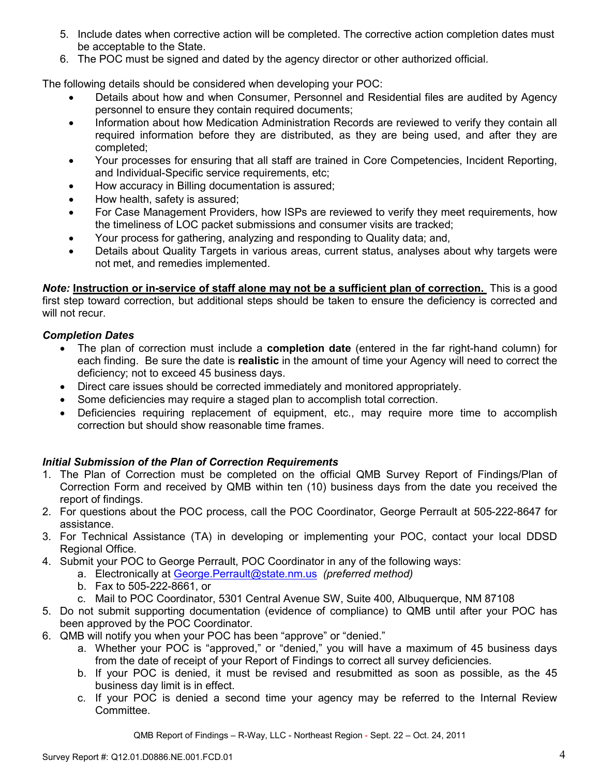- 5. Include dates when corrective action will be completed. The corrective action completion dates must be acceptable to the State.
- 6. The POC must be signed and dated by the agency director or other authorized official.

The following details should be considered when developing your POC:

- Details about how and when Consumer, Personnel and Residential files are audited by Agency personnel to ensure they contain required documents;
- Information about how Medication Administration Records are reviewed to verify they contain all required information before they are distributed, as they are being used, and after they are completed;
- Your processes for ensuring that all staff are trained in Core Competencies, Incident Reporting, and Individual-Specific service requirements, etc;
- How accuracy in Billing documentation is assured;
- How health, safety is assured;
- For Case Management Providers, how ISPs are reviewed to verify they meet requirements, how the timeliness of LOC packet submissions and consumer visits are tracked;
- Your process for gathering, analyzing and responding to Quality data; and,
- Details about Quality Targets in various areas, current status, analyses about why targets were not met, and remedies implemented.

*Note:* **Instruction or in-service of staff alone may not be a sufficient plan of correction.** This is a good first step toward correction, but additional steps should be taken to ensure the deficiency is corrected and will not recur.

## *Completion Dates*

- The plan of correction must include a **completion date** (entered in the far right-hand column) for each finding. Be sure the date is **realistic** in the amount of time your Agency will need to correct the deficiency; not to exceed 45 business days.
- Direct care issues should be corrected immediately and monitored appropriately.
- Some deficiencies may require a staged plan to accomplish total correction.
- Deficiencies requiring replacement of equipment, etc., may require more time to accomplish correction but should show reasonable time frames.

## *Initial Submission of the Plan of Correction Requirements*

- 1. The Plan of Correction must be completed on the official QMB Survey Report of Findings/Plan of Correction Form and received by QMB within ten (10) business days from the date you received the report of findings.
- 2. For questions about the POC process, call the POC Coordinator, George Perrault at 505-222-8647 for assistance.
- 3. For Technical Assistance (TA) in developing or implementing your POC, contact your local DDSD Regional Office.
- 4. Submit your POC to George Perrault, POC Coordinator in any of the following ways:
	- a. Electronically at George.Perrault@state.nm.us *(preferred method)*
	- b. Fax to 505-222-8661, or
	- c. Mail to POC Coordinator, 5301 Central Avenue SW, Suite 400, Albuquerque, NM 87108
- 5. Do not submit supporting documentation (evidence of compliance) to QMB until after your POC has been approved by the POC Coordinator.
- 6. QMB will notify you when your POC has been "approve" or "denied."
	- a. Whether your POC is "approved," or "denied," you will have a maximum of 45 business days from the date of receipt of your Report of Findings to correct all survey deficiencies.
	- b. If your POC is denied, it must be revised and resubmitted as soon as possible, as the 45 business day limit is in effect.
	- c. If your POC is denied a second time your agency may be referred to the Internal Review Committee.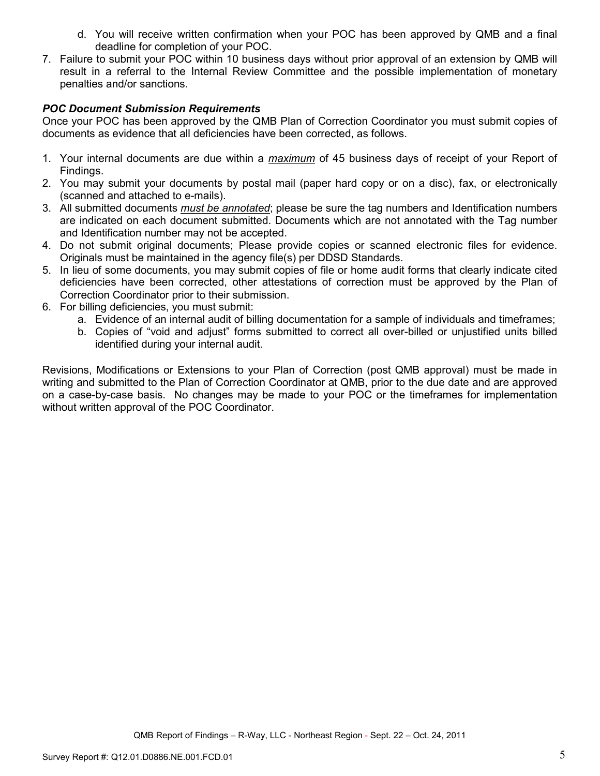- d. You will receive written confirmation when your POC has been approved by QMB and a final deadline for completion of your POC.
- 7. Failure to submit your POC within 10 business days without prior approval of an extension by QMB will result in a referral to the Internal Review Committee and the possible implementation of monetary penalties and/or sanctions.

### *POC Document Submission Requirements*

Once your POC has been approved by the QMB Plan of Correction Coordinator you must submit copies of documents as evidence that all deficiencies have been corrected, as follows.

- 1. Your internal documents are due within a *maximum* of 45 business days of receipt of your Report of Findings.
- 2. You may submit your documents by postal mail (paper hard copy or on a disc), fax, or electronically (scanned and attached to e-mails).
- 3. All submitted documents *must be annotated*; please be sure the tag numbers and Identification numbers are indicated on each document submitted. Documents which are not annotated with the Tag number and Identification number may not be accepted.
- 4. Do not submit original documents; Please provide copies or scanned electronic files for evidence. Originals must be maintained in the agency file(s) per DDSD Standards.
- 5. In lieu of some documents, you may submit copies of file or home audit forms that clearly indicate cited deficiencies have been corrected, other attestations of correction must be approved by the Plan of Correction Coordinator prior to their submission.
- 6. For billing deficiencies, you must submit:
	- a. Evidence of an internal audit of billing documentation for a sample of individuals and timeframes;
	- b. Copies of "void and adjust" forms submitted to correct all over-billed or unjustified units billed identified during your internal audit.

Revisions, Modifications or Extensions to your Plan of Correction (post QMB approval) must be made in writing and submitted to the Plan of Correction Coordinator at QMB, prior to the due date and are approved on a case-by-case basis. No changes may be made to your POC or the timeframes for implementation without written approval of the POC Coordinator.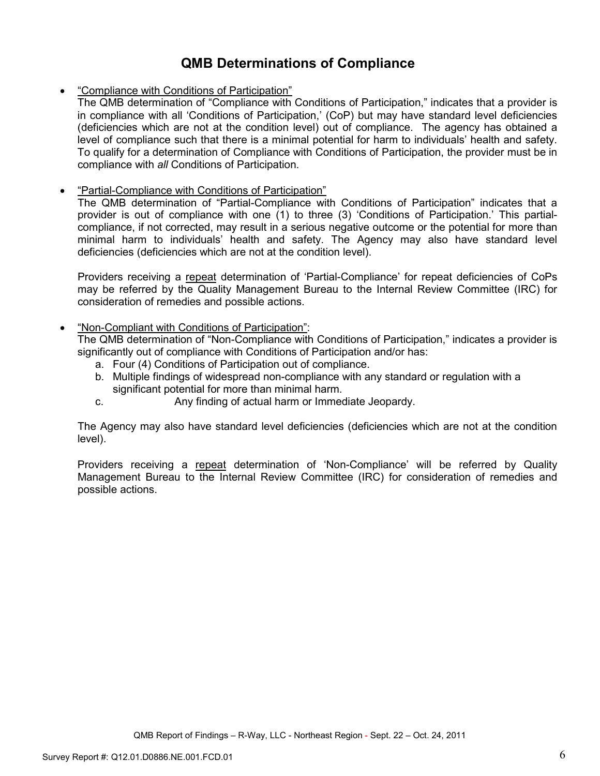# **QMB Determinations of Compliance**

• "Compliance with Conditions of Participation"

The QMB determination of "Compliance with Conditions of Participation," indicates that a provider is in compliance with all 'Conditions of Participation,' (CoP) but may have standard level deficiencies (deficiencies which are not at the condition level) out of compliance. The agency has obtained a level of compliance such that there is a minimal potential for harm to individuals' health and safety. To qualify for a determination of Compliance with Conditions of Participation, the provider must be in compliance with *all* Conditions of Participation.

### • "Partial-Compliance with Conditions of Participation"

The QMB determination of "Partial-Compliance with Conditions of Participation" indicates that a provider is out of compliance with one (1) to three (3) 'Conditions of Participation.' This partialcompliance, if not corrected, may result in a serious negative outcome or the potential for more than minimal harm to individuals' health and safety. The Agency may also have standard level deficiencies (deficiencies which are not at the condition level).

Providers receiving a repeat determination of 'Partial-Compliance' for repeat deficiencies of CoPs may be referred by the Quality Management Bureau to the Internal Review Committee (IRC) for consideration of remedies and possible actions.

### • "Non-Compliant with Conditions of Participation":

The QMB determination of "Non-Compliance with Conditions of Participation," indicates a provider is significantly out of compliance with Conditions of Participation and/or has:

- a. Four (4) Conditions of Participation out of compliance.
- b. Multiple findings of widespread non-compliance with any standard or regulation with a significant potential for more than minimal harm.
- c. Any finding of actual harm or Immediate Jeopardy.

The Agency may also have standard level deficiencies (deficiencies which are not at the condition level).

Providers receiving a repeat determination of 'Non-Compliance' will be referred by Quality Management Bureau to the Internal Review Committee (IRC) for consideration of remedies and possible actions.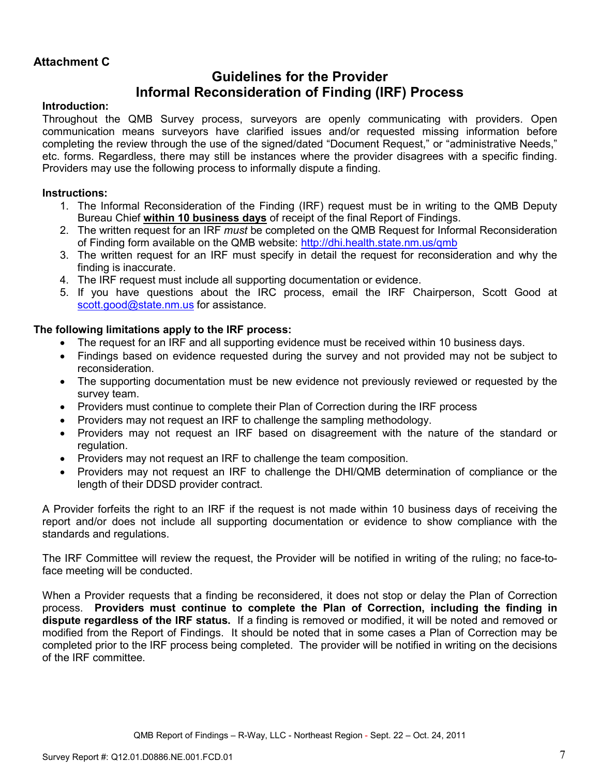## **Attachment C**

# **Guidelines for the Provider Informal Reconsideration of Finding (IRF) Process**

### **Introduction:**

Throughout the QMB Survey process, surveyors are openly communicating with providers. Open communication means surveyors have clarified issues and/or requested missing information before completing the review through the use of the signed/dated "Document Request," or "administrative Needs," etc. forms. Regardless, there may still be instances where the provider disagrees with a specific finding. Providers may use the following process to informally dispute a finding.

### **Instructions:**

- 1. The Informal Reconsideration of the Finding (IRF) request must be in writing to the QMB Deputy Bureau Chief **within 10 business days** of receipt of the final Report of Findings.
- 2. The written request for an IRF *must* be completed on the QMB Request for Informal Reconsideration of Finding form available on the QMB website: http://dhi.health.state.nm.us/qmb
- 3. The written request for an IRF must specify in detail the request for reconsideration and why the finding is inaccurate.
- 4. The IRF request must include all supporting documentation or evidence.
- 5. If you have questions about the IRC process, email the IRF Chairperson, Scott Good at scott.good@state.nm.us for assistance.

### **The following limitations apply to the IRF process:**

- The request for an IRF and all supporting evidence must be received within 10 business days.
- Findings based on evidence requested during the survey and not provided may not be subject to reconsideration.
- The supporting documentation must be new evidence not previously reviewed or requested by the survey team.
- Providers must continue to complete their Plan of Correction during the IRF process
- Providers may not request an IRF to challenge the sampling methodology.
- Providers may not request an IRF based on disagreement with the nature of the standard or regulation.
- Providers may not request an IRF to challenge the team composition.
- Providers may not request an IRF to challenge the DHI/QMB determination of compliance or the length of their DDSD provider contract.

A Provider forfeits the right to an IRF if the request is not made within 10 business days of receiving the report and/or does not include all supporting documentation or evidence to show compliance with the standards and regulations.

The IRF Committee will review the request, the Provider will be notified in writing of the ruling; no face-toface meeting will be conducted.

When a Provider requests that a finding be reconsidered, it does not stop or delay the Plan of Correction process. **Providers must continue to complete the Plan of Correction, including the finding in dispute regardless of the IRF status.** If a finding is removed or modified, it will be noted and removed or modified from the Report of Findings. It should be noted that in some cases a Plan of Correction may be completed prior to the IRF process being completed. The provider will be notified in writing on the decisions of the IRF committee.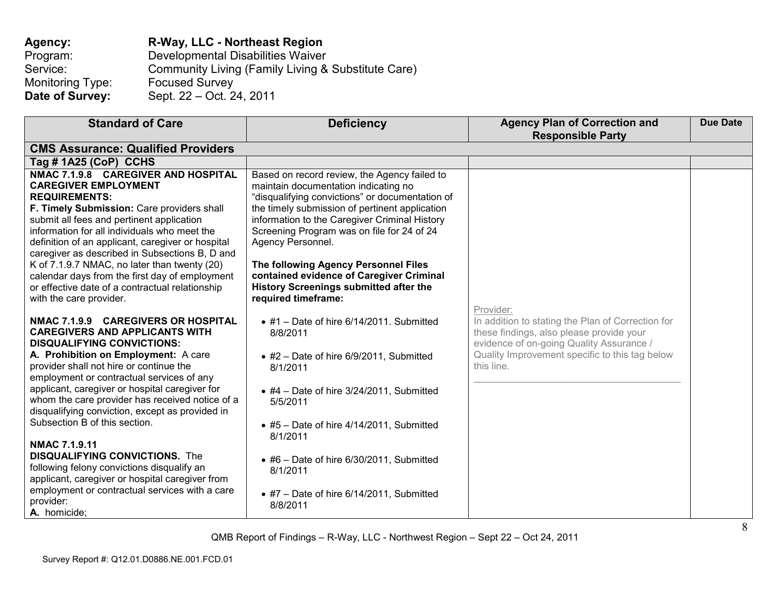## **Agency:** R-Way, LLC - Northeast Region<br>Program: Developmental Disabilities Waiver Program: Developmental Disabilities Waiver Service: Community Living (Family Living & Substitute Care) Monitoring Type: Focused Survey<br> **Date of Survey:** Sept. 22 – Oct. 24 **Date of Survey:** Sept. 22 – Oct. 24, 2011

| <b>Standard of Care</b>                                                                                                                                                                                                                                                                                                                                                                                                                                                                                                                                                                                                                                                              | <b>Deficiency</b>                                                                                                                                                                                                                                                                                                                                                                                                                                                         | <b>Agency Plan of Correction and</b><br><b>Responsible Party</b>                                                                                                                                                       | <b>Due Date</b> |
|--------------------------------------------------------------------------------------------------------------------------------------------------------------------------------------------------------------------------------------------------------------------------------------------------------------------------------------------------------------------------------------------------------------------------------------------------------------------------------------------------------------------------------------------------------------------------------------------------------------------------------------------------------------------------------------|---------------------------------------------------------------------------------------------------------------------------------------------------------------------------------------------------------------------------------------------------------------------------------------------------------------------------------------------------------------------------------------------------------------------------------------------------------------------------|------------------------------------------------------------------------------------------------------------------------------------------------------------------------------------------------------------------------|-----------------|
| <b>CMS Assurance: Qualified Providers</b>                                                                                                                                                                                                                                                                                                                                                                                                                                                                                                                                                                                                                                            |                                                                                                                                                                                                                                                                                                                                                                                                                                                                           |                                                                                                                                                                                                                        |                 |
| Tag # 1A25 (CoP) CCHS                                                                                                                                                                                                                                                                                                                                                                                                                                                                                                                                                                                                                                                                |                                                                                                                                                                                                                                                                                                                                                                                                                                                                           |                                                                                                                                                                                                                        |                 |
| NMAC 7.1.9.8 CAREGIVER AND HOSPITAL<br><b>CAREGIVER EMPLOYMENT</b><br><b>REQUIREMENTS:</b><br>F. Timely Submission: Care providers shall<br>submit all fees and pertinent application<br>information for all individuals who meet the<br>definition of an applicant, caregiver or hospital<br>caregiver as described in Subsections B, D and<br>K of 7.1.9.7 NMAC, no later than twenty (20)<br>calendar days from the first day of employment<br>or effective date of a contractual relationship<br>with the care provider.                                                                                                                                                         | Based on record review, the Agency failed to<br>maintain documentation indicating no<br>"disqualifying convictions" or documentation of<br>the timely submission of pertinent application<br>information to the Caregiver Criminal History<br>Screening Program was on file for 24 of 24<br>Agency Personnel.<br>The following Agency Personnel Files<br>contained evidence of Caregiver Criminal<br><b>History Screenings submitted after the</b><br>required timeframe: |                                                                                                                                                                                                                        |                 |
| NMAC 7.1.9.9 CAREGIVERS OR HOSPITAL<br><b>CAREGIVERS AND APPLICANTS WITH</b><br><b>DISQUALIFYING CONVICTIONS:</b><br>A. Prohibition on Employment: A care<br>provider shall not hire or continue the<br>employment or contractual services of any<br>applicant, caregiver or hospital caregiver for<br>whom the care provider has received notice of a<br>disqualifying conviction, except as provided in<br>Subsection B of this section.<br>NMAC 7.1.9.11<br><b>DISQUALIFYING CONVICTIONS.</b> The<br>following felony convictions disqualify an<br>applicant, caregiver or hospital caregiver from<br>employment or contractual services with a care<br>provider:<br>A. homicide; | $\bullet$ #1 - Date of hire 6/14/2011. Submitted<br>8/8/2011<br>$\bullet$ #2 - Date of hire 6/9/2011, Submitted<br>8/1/2011<br>$\bullet$ #4 - Date of hire 3/24/2011, Submitted<br>5/5/2011<br>$\bullet$ #5 - Date of hire 4/14/2011, Submitted<br>8/1/2011<br>$\bullet$ #6 - Date of hire 6/30/2011, Submitted<br>8/1/2011<br>$\bullet$ #7 - Date of hire 6/14/2011, Submitted<br>8/8/2011                                                                               | Provider:<br>In addition to stating the Plan of Correction for<br>these findings, also please provide your<br>evidence of on-going Quality Assurance /<br>Quality Improvement specific to this tag below<br>this line. |                 |

QMB Report of Findings – R-Way, LLC - Northwest Region – Sept 22 – Oct 24, 2011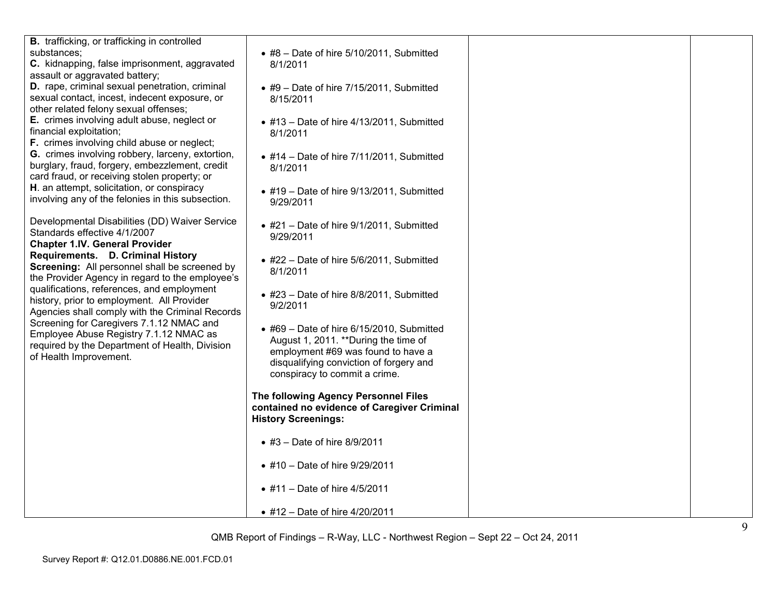| <b>B.</b> trafficking, or trafficking in controlled<br>substances;<br>C. kidnapping, false imprisonment, aggravated<br>assault or aggravated battery;<br>D. rape, criminal sexual penetration, criminal<br>sexual contact, incest, indecent exposure, or<br>other related felony sexual offenses;<br>E. crimes involving adult abuse, neglect or<br>financial exploitation;<br>F. crimes involving child abuse or neglect;<br>G. crimes involving robbery, larceny, extortion,<br>burglary, fraud, forgery, embezzlement, credit<br>card fraud, or receiving stolen property; or<br>H. an attempt, solicitation, or conspiracy<br>involving any of the felonies in this subsection.<br>Developmental Disabilities (DD) Waiver Service<br>Standards effective 4/1/2007<br><b>Chapter 1.IV. General Provider</b><br>Requirements. D. Criminal History<br>Screening: All personnel shall be screened by<br>the Provider Agency in regard to the employee's<br>qualifications, references, and employment<br>history, prior to employment. All Provider<br>Agencies shall comply with the Criminal Records<br>Screening for Caregivers 7.1.12 NMAC and<br>Employee Abuse Registry 7.1.12 NMAC as<br>required by the Department of Health, Division<br>of Health Improvement. | $\bullet$ #8 - Date of hire 5/10/2011, Submitted<br>8/1/2011<br>$\bullet$ #9 - Date of hire 7/15/2011, Submitted<br>8/15/2011<br>$\bullet$ #13 - Date of hire 4/13/2011, Submitted<br>8/1/2011<br>$\bullet$ #14 - Date of hire 7/11/2011, Submitted<br>8/1/2011<br>$\bullet$ #19 - Date of hire 9/13/2011, Submitted<br>9/29/2011<br>$\bullet$ #21 - Date of hire 9/1/2011, Submitted<br>9/29/2011<br>$\bullet$ #22 - Date of hire 5/6/2011, Submitted<br>8/1/2011<br>$\bullet$ #23 - Date of hire 8/8/2011, Submitted<br>9/2/2011<br>$\bullet$ #69 - Date of hire 6/15/2010, Submitted<br>August 1, 2011. ** During the time of<br>employment #69 was found to have a<br>disqualifying conviction of forgery and<br>conspiracy to commit a crime.<br>The following Agency Personnel Files<br>contained no evidence of Caregiver Criminal<br><b>History Screenings:</b><br>• #3 - Date of hire $8/9/2011$<br>• #10 - Date of hire 9/29/2011 |  |
|--------------------------------------------------------------------------------------------------------------------------------------------------------------------------------------------------------------------------------------------------------------------------------------------------------------------------------------------------------------------------------------------------------------------------------------------------------------------------------------------------------------------------------------------------------------------------------------------------------------------------------------------------------------------------------------------------------------------------------------------------------------------------------------------------------------------------------------------------------------------------------------------------------------------------------------------------------------------------------------------------------------------------------------------------------------------------------------------------------------------------------------------------------------------------------------------------------------------------------------------------------------------------|---------------------------------------------------------------------------------------------------------------------------------------------------------------------------------------------------------------------------------------------------------------------------------------------------------------------------------------------------------------------------------------------------------------------------------------------------------------------------------------------------------------------------------------------------------------------------------------------------------------------------------------------------------------------------------------------------------------------------------------------------------------------------------------------------------------------------------------------------------------------------------------------------------------------------------------------|--|
|                                                                                                                                                                                                                                                                                                                                                                                                                                                                                                                                                                                                                                                                                                                                                                                                                                                                                                                                                                                                                                                                                                                                                                                                                                                                          |                                                                                                                                                                                                                                                                                                                                                                                                                                                                                                                                                                                                                                                                                                                                                                                                                                                                                                                                             |  |
|                                                                                                                                                                                                                                                                                                                                                                                                                                                                                                                                                                                                                                                                                                                                                                                                                                                                                                                                                                                                                                                                                                                                                                                                                                                                          | • #11 - Date of hire $4/5/2011$                                                                                                                                                                                                                                                                                                                                                                                                                                                                                                                                                                                                                                                                                                                                                                                                                                                                                                             |  |
|                                                                                                                                                                                                                                                                                                                                                                                                                                                                                                                                                                                                                                                                                                                                                                                                                                                                                                                                                                                                                                                                                                                                                                                                                                                                          | • #12 - Date of hire 4/20/2011                                                                                                                                                                                                                                                                                                                                                                                                                                                                                                                                                                                                                                                                                                                                                                                                                                                                                                              |  |

QMB Report of Findings – R-Way, LLC - Northwest Region – Sept 22 – Oct 24, 2011